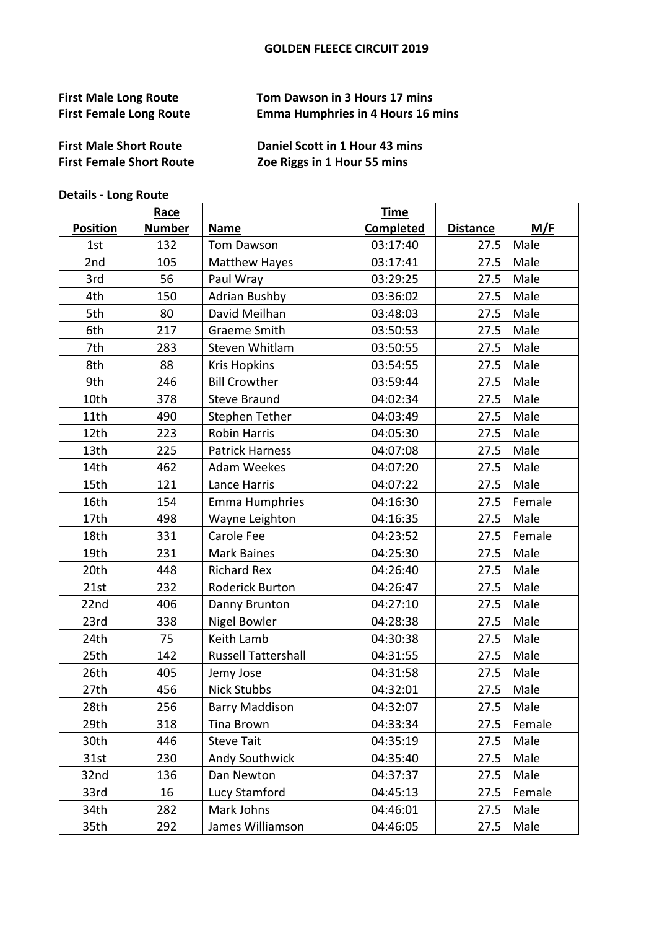## **GOLDEN FLEECE CIRCUIT 2019**

## **First Male Long Route Combinator Combinator Combinator Tom Dawson in 3 Hours 17 mins First Female Long Route Concerned Emma Humphries in 4 Hours 16 mins**

**First Male Short Route Daniel Scott in 1 Hour 43 mins First Female Short Route 20e Riggs in 1 Hour 55 mins** 

# **Details - Long Route**

|                 | Race          |                            | <b>Time</b>      |                 |        |
|-----------------|---------------|----------------------------|------------------|-----------------|--------|
| <b>Position</b> | <b>Number</b> | <b>Name</b>                | <b>Completed</b> | <b>Distance</b> | M/F    |
| 1st             | 132           | <b>Tom Dawson</b>          | 03:17:40         | 27.5            | Male   |
| 2nd             | 105           | <b>Matthew Hayes</b>       | 03:17:41         | 27.5            | Male   |
| 3rd             | 56            | Paul Wray                  | 03:29:25         | 27.5            | Male   |
| 4th             | 150           | <b>Adrian Bushby</b>       | 03:36:02         | 27.5            | Male   |
| 5th             | 80            | David Meilhan              | 03:48:03         | 27.5            | Male   |
| 6th             | 217           | <b>Graeme Smith</b>        | 03:50:53         | 27.5            | Male   |
| 7th             | 283           | Steven Whitlam             | 03:50:55         | 27.5            | Male   |
| 8th             | 88            | <b>Kris Hopkins</b>        | 03:54:55         | 27.5            | Male   |
| 9th             | 246           | <b>Bill Crowther</b>       | 03:59:44         | 27.5            | Male   |
| 10th            | 378           | <b>Steve Braund</b>        | 04:02:34         | 27.5            | Male   |
| 11th            | 490           | Stephen Tether             | 04:03:49         | 27.5            | Male   |
| 12th            | 223           | <b>Robin Harris</b>        | 04:05:30         | 27.5            | Male   |
| 13th            | 225           | <b>Patrick Harness</b>     | 04:07:08         | 27.5            | Male   |
| 14th            | 462           | <b>Adam Weekes</b>         | 04:07:20         | 27.5            | Male   |
| 15th            | 121           | Lance Harris               | 04:07:22         | 27.5            | Male   |
| 16th            | 154           | <b>Emma Humphries</b>      | 04:16:30         | 27.5            | Female |
| 17th            | 498           | Wayne Leighton             | 04:16:35         | 27.5            | Male   |
| 18th            | 331           | Carole Fee                 | 04:23:52         | 27.5            | Female |
| 19th            | 231           | <b>Mark Baines</b>         | 04:25:30         | 27.5            | Male   |
| 20th            | 448           | <b>Richard Rex</b>         | 04:26:40         | 27.5            | Male   |
| 21st            | 232           | Roderick Burton            | 04:26:47         | 27.5            | Male   |
| 22nd            | 406           | Danny Brunton              | 04:27:10         | 27.5            | Male   |
| 23rd            | 338           | Nigel Bowler               | 04:28:38         | 27.5            | Male   |
| 24th            | 75            | <b>Keith Lamb</b>          | 04:30:38         | 27.5            | Male   |
| 25th            | 142           | <b>Russell Tattershall</b> | 04:31:55         | 27.5            | Male   |
| 26th            | 405           | Jemy Jose                  | 04:31:58         | 27.5            | Male   |
| 27th            | 456           | <b>Nick Stubbs</b>         | 04:32:01         | 27.5            | Male   |
| 28th            | 256           | <b>Barry Maddison</b>      | 04:32:07         | 27.5            | Male   |
| 29th            | 318           | Tina Brown                 | 04:33:34         | 27.5            | Female |
| 30th            | 446           | <b>Steve Tait</b>          | 04:35:19         | 27.5            | Male   |
| 31st            | 230           | Andy Southwick             | 04:35:40         | 27.5            | Male   |
| 32nd            | 136           | Dan Newton                 | 04:37:37         | 27.5            | Male   |
| 33rd            | 16            | Lucy Stamford              | 04:45:13         | 27.5            | Female |
| 34th            | 282           | Mark Johns                 | 04:46:01         | 27.5            | Male   |
| 35th            | 292           | James Williamson           | 04:46:05         | 27.5            | Male   |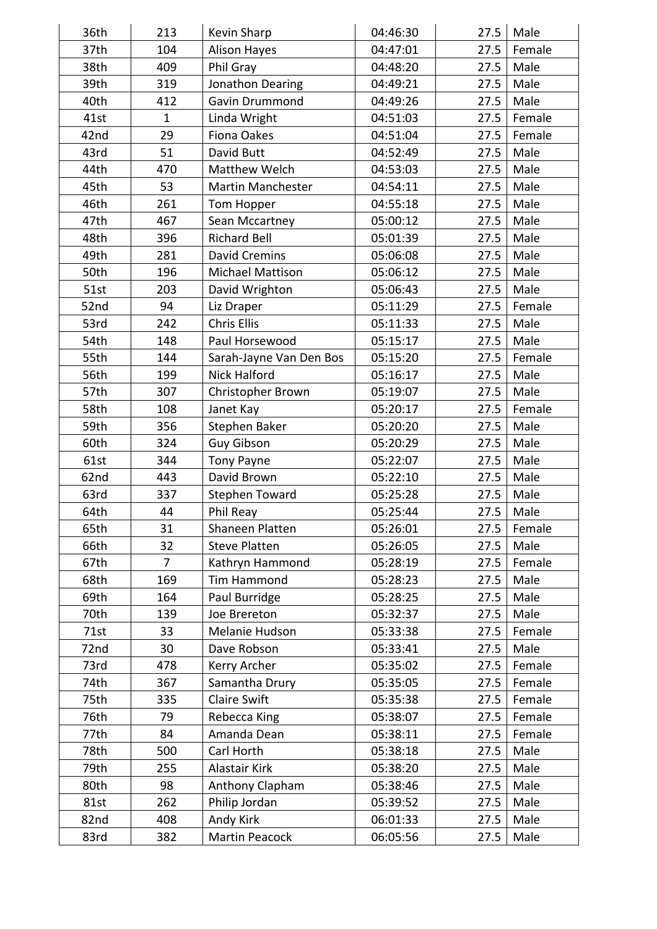| 36th | 213            | Kevin Sharp              | 04:46:30 | 27.5 | Male   |
|------|----------------|--------------------------|----------|------|--------|
| 37th | 104            | Alison Hayes             | 04:47:01 | 27.5 | Female |
| 38th | 409            | Phil Gray                | 04:48:20 | 27.5 | Male   |
| 39th | 319            | Jonathon Dearing         | 04:49:21 | 27.5 | Male   |
| 40th | 412            | <b>Gavin Drummond</b>    | 04:49:26 | 27.5 | Male   |
| 41st | $\mathbf{1}$   | Linda Wright             | 04:51:03 | 27.5 | Female |
| 42nd | 29             | Fiona Oakes              | 04:51:04 | 27.5 | Female |
| 43rd | 51             | David Butt               | 04:52:49 | 27.5 | Male   |
| 44th | 470            | Matthew Welch            | 04:53:03 | 27.5 | Male   |
| 45th | 53             | <b>Martin Manchester</b> | 04:54:11 | 27.5 | Male   |
| 46th | 261            | Tom Hopper               | 04:55:18 | 27.5 | Male   |
| 47th | 467            | Sean Mccartney           | 05:00:12 | 27.5 | Male   |
| 48th | 396            | <b>Richard Bell</b>      | 05:01:39 | 27.5 | Male   |
| 49th | 281            | <b>David Cremins</b>     | 05:06:08 | 27.5 | Male   |
| 50th | 196            | <b>Michael Mattison</b>  | 05:06:12 | 27.5 | Male   |
| 51st | 203            | David Wrighton           | 05:06:43 | 27.5 | Male   |
| 52nd | 94             | Liz Draper               | 05:11:29 | 27.5 | Female |
| 53rd | 242            | <b>Chris Ellis</b>       | 05:11:33 | 27.5 | Male   |
| 54th | 148            | Paul Horsewood           | 05:15:17 | 27.5 | Male   |
| 55th | 144            | Sarah-Jayne Van Den Bos  | 05:15:20 | 27.5 | Female |
| 56th | 199            | <b>Nick Halford</b>      | 05:16:17 | 27.5 | Male   |
| 57th | 307            | Christopher Brown        | 05:19:07 | 27.5 | Male   |
| 58th | 108            | Janet Kay                | 05:20:17 | 27.5 | Female |
| 59th | 356            | Stephen Baker            | 05:20:20 | 27.5 | Male   |
| 60th | 324            | <b>Guy Gibson</b>        | 05:20:29 | 27.5 | Male   |
| 61st | 344            | Tony Payne               | 05:22:07 | 27.5 | Male   |
| 62nd | 443            | David Brown              | 05:22:10 | 27.5 | Male   |
| 63rd | 337            | <b>Stephen Toward</b>    | 05:25:28 | 27.5 | Male   |
| 64th | 44             | Phil Reay                | 05:25:44 | 27.5 | Male   |
| 65th | 31             | Shaneen Platten          | 05:26:01 | 27.5 | Female |
| 66th | 32             | <b>Steve Platten</b>     | 05:26:05 | 27.5 | Male   |
| 67th | $\overline{7}$ | Kathryn Hammond          | 05:28:19 | 27.5 | Female |
| 68th | 169            | <b>Tim Hammond</b>       | 05:28:23 | 27.5 | Male   |
| 69th | 164            | Paul Burridge            | 05:28:25 | 27.5 | Male   |
| 70th | 139            | Joe Brereton             | 05:32:37 | 27.5 | Male   |
| 71st | 33             | Melanie Hudson           | 05:33:38 | 27.5 | Female |
| 72nd | 30             | Dave Robson              | 05:33:41 | 27.5 | Male   |
| 73rd | 478            | Kerry Archer             | 05:35:02 | 27.5 | Female |
| 74th | 367            | Samantha Drury           | 05:35:05 | 27.5 | Female |
| 75th | 335            | Claire Swift             | 05:35:38 | 27.5 | Female |
| 76th | 79             | Rebecca King             | 05:38:07 | 27.5 | Female |
| 77th | 84             | Amanda Dean              | 05:38:11 | 27.5 | Female |
| 78th | 500            | Carl Horth               | 05:38:18 | 27.5 | Male   |
| 79th | 255            | Alastair Kirk            | 05:38:20 | 27.5 | Male   |
| 80th | 98             | Anthony Clapham          | 05:38:46 | 27.5 | Male   |
| 81st | 262            | Philip Jordan            | 05:39:52 | 27.5 | Male   |
| 82nd | 408            | Andy Kirk                | 06:01:33 | 27.5 | Male   |
| 83rd | 382            | Martin Peacock           | 06:05:56 | 27.5 | Male   |
|      |                |                          |          |      |        |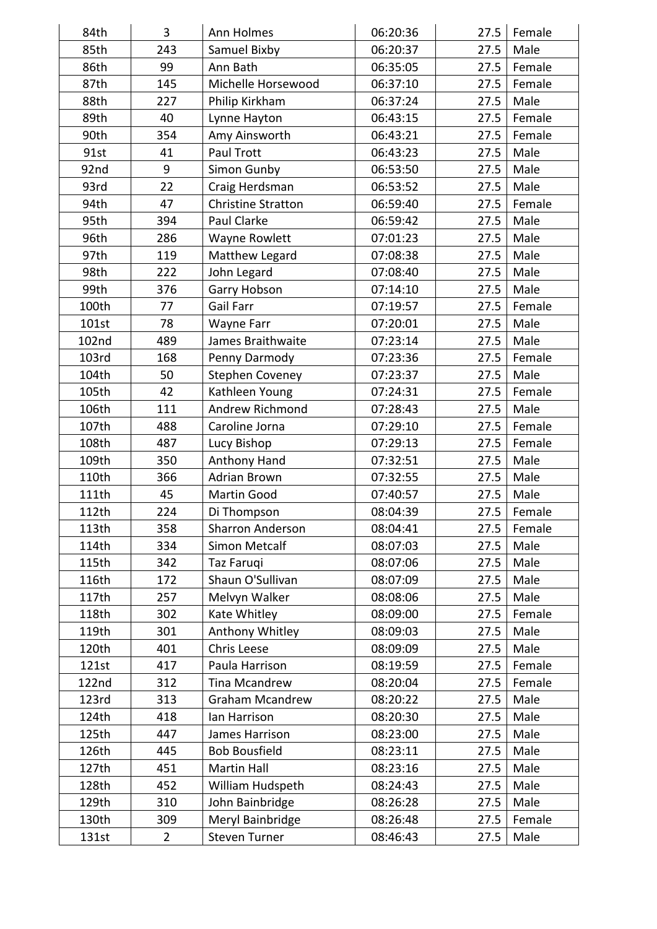| 84th  | 3           | Ann Holmes                     | 06:20:36 | 27.5 | Female |
|-------|-------------|--------------------------------|----------|------|--------|
| 85th  | 243         | Samuel Bixby                   | 06:20:37 | 27.5 | Male   |
| 86th  | 99          | Ann Bath                       | 06:35:05 | 27.5 | Female |
| 87th  | 145         | Michelle Horsewood             | 06:37:10 | 27.5 | Female |
| 88th  | 227         | Philip Kirkham                 | 06:37:24 | 27.5 | Male   |
| 89th  | 40          | Lynne Hayton                   | 06:43:15 | 27.5 | Female |
| 90th  | 354         | Amy Ainsworth                  | 06:43:21 | 27.5 | Female |
| 91st  | 41          | Paul Trott                     | 06:43:23 | 27.5 | Male   |
| 92nd  | 9           | Simon Gunby                    | 06:53:50 | 27.5 | Male   |
| 93rd  | 22          | Craig Herdsman                 | 06:53:52 | 27.5 | Male   |
| 94th  | 47          | <b>Christine Stratton</b>      | 06:59:40 | 27.5 | Female |
| 95th  | 394         | Paul Clarke                    | 06:59:42 | 27.5 | Male   |
| 96th  | 286         | Wayne Rowlett                  | 07:01:23 | 27.5 | Male   |
| 97th  | 119         | Matthew Legard                 | 07:08:38 | 27.5 | Male   |
| 98th  | 222         | John Legard                    | 07:08:40 | 27.5 | Male   |
| 99th  | 376         | Garry Hobson                   | 07:14:10 | 27.5 | Male   |
| 100th | 77          | Gail Farr                      | 07:19:57 | 27.5 | Female |
| 101st | 78          | Wayne Farr                     | 07:20:01 | 27.5 | Male   |
| 102nd | 489         | James Braithwaite              | 07:23:14 | 27.5 | Male   |
| 103rd | 168         | Penny Darmody                  | 07:23:36 | 27.5 | Female |
| 104th | 50          | <b>Stephen Coveney</b>         | 07:23:37 | 27.5 | Male   |
| 105th | 42          | Kathleen Young                 | 07:24:31 | 27.5 | Female |
| 106th | 111         | Andrew Richmond                | 07:28:43 | 27.5 | Male   |
| 107th | 488         | Caroline Jorna                 | 07:29:10 | 27.5 | Female |
| 108th | 487         | Lucy Bishop                    | 07:29:13 | 27.5 | Female |
| 109th | 350         | Anthony Hand                   | 07:32:51 | 27.5 | Male   |
| 110th | 366         | <b>Adrian Brown</b>            | 07:32:55 | 27.5 | Male   |
| 111th | 45          | Martin Good                    | 07:40:57 | 27.5 | Male   |
| 112th | 224         | Di Thompson                    | 08:04:39 | 27.5 | Female |
| 113th | 358         | Sharron Anderson               | 08:04:41 | 27.5 | Female |
| 114th | 334         | <b>Simon Metcalf</b>           | 08:07:03 | 27.5 | Male   |
| 115th | 342         | Taz Faruqi                     | 08:07:06 | 27.5 | Male   |
| 116th | 172         | Shaun O'Sullivan               | 08:07:09 | 27.5 | Male   |
| 117th | 257         | Melvyn Walker                  | 08:08:06 | 27.5 | Male   |
|       | 302         |                                | 08:09:00 |      | Female |
| 118th | 301         | Kate Whitley                   | 08:09:03 | 27.5 | Male   |
| 119th |             | Anthony Whitley<br>Chris Leese |          | 27.5 |        |
| 120th | 401         |                                | 08:09:09 | 27.5 | Male   |
| 121st | 417         | Paula Harrison                 | 08:19:59 | 27.5 | Female |
| 122nd | 312         | Tina Mcandrew                  | 08:20:04 | 27.5 | Female |
| 123rd | 313         | <b>Graham Mcandrew</b>         | 08:20:22 | 27.5 | Male   |
| 124th | 418         | lan Harrison                   | 08:20:30 | 27.5 | Male   |
| 125th | 447         | James Harrison                 | 08:23:00 | 27.5 | Male   |
| 126th | 445         | <b>Bob Bousfield</b>           | 08:23:11 | 27.5 | Male   |
| 127th | 451         | <b>Martin Hall</b>             | 08:23:16 | 27.5 | Male   |
| 128th | 452         | William Hudspeth               | 08:24:43 | 27.5 | Male   |
| 129th | 310         | John Bainbridge                | 08:26:28 | 27.5 | Male   |
| 130th | 309         | Meryl Bainbridge               | 08:26:48 | 27.5 | Female |
| 131st | $2^{\circ}$ | Steven Turner                  | 08:46:43 | 27.5 | Male   |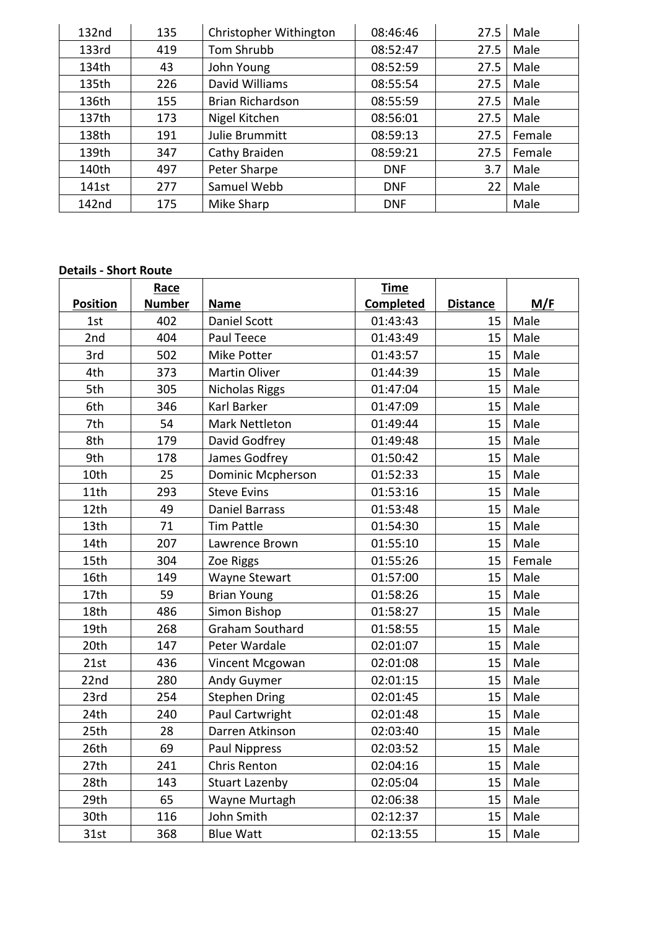| 132nd | 135 | Christopher Withington  | 08:46:46   | 27.5 | Male   |
|-------|-----|-------------------------|------------|------|--------|
| 133rd | 419 | Tom Shrubb              | 08:52:47   | 27.5 | Male   |
| 134th | 43  | John Young              | 08:52:59   | 27.5 | Male   |
| 135th | 226 | David Williams          | 08:55:54   | 27.5 | Male   |
| 136th | 155 | <b>Brian Richardson</b> | 08:55:59   | 27.5 | Male   |
| 137th | 173 | Nigel Kitchen           | 08:56:01   | 27.5 | Male   |
| 138th | 191 | Julie Brummitt          | 08:59:13   | 27.5 | Female |
| 139th | 347 | Cathy Braiden           | 08:59:21   | 27.5 | Female |
| 140th | 497 | Peter Sharpe            | <b>DNF</b> | 3.7  | Male   |
| 141st | 277 | Samuel Webb             | <b>DNF</b> | 22   | Male   |
| 142nd | 175 | Mike Sharp              | <b>DNF</b> |      | Male   |

### **Details - Short Route**

|                 | Race          |                          | <b>Time</b>      |                 |        |
|-----------------|---------------|--------------------------|------------------|-----------------|--------|
| <b>Position</b> | <b>Number</b> | <b>Name</b>              | <b>Completed</b> | <b>Distance</b> | M/F    |
| 1st             | 402           | <b>Daniel Scott</b>      | 01:43:43         | 15              | Male   |
| 2nd             | 404           | Paul Teece               | 01:43:49         | 15              | Male   |
| 3rd             | 502           | Mike Potter              | 01:43:57         | 15              | Male   |
| 4th             | 373           | Martin Oliver            | 01:44:39         | 15              | Male   |
| 5th             | 305           | <b>Nicholas Riggs</b>    | 01:47:04         | 15              | Male   |
| 6th             | 346           | Karl Barker              | 01:47:09         | 15              | Male   |
| 7th             | 54            | Mark Nettleton           | 01:49:44         | 15              | Male   |
| 8th             | 179           | David Godfrey            | 01:49:48         | 15              | Male   |
| 9th             | 178           | James Godfrey            | 01:50:42         | 15              | Male   |
| 10th            | 25            | <b>Dominic Mcpherson</b> | 01:52:33         | 15              | Male   |
| 11th            | 293           | <b>Steve Evins</b>       | 01:53:16         | 15              | Male   |
| 12th            | 49            | <b>Daniel Barrass</b>    | 01:53:48         | 15              | Male   |
| 13th            | 71            | <b>Tim Pattle</b>        | 01:54:30         | 15              | Male   |
| 14th            | 207           | Lawrence Brown           | 01:55:10         | 15              | Male   |
| 15th            | 304           | Zoe Riggs                | 01:55:26         | 15              | Female |
| 16th            | 149           | Wayne Stewart            | 01:57:00         | 15              | Male   |
| 17th            | 59            | <b>Brian Young</b>       | 01:58:26         | 15              | Male   |
| 18th            | 486           | Simon Bishop             | 01:58:27         | 15              | Male   |
| 19th            | 268           | <b>Graham Southard</b>   | 01:58:55         | 15              | Male   |
| 20th            | 147           | Peter Wardale            | 02:01:07         | 15              | Male   |
| 21st            | 436           | Vincent Mcgowan          | 02:01:08         | 15              | Male   |
| 22nd            | 280           | Andy Guymer              | 02:01:15         | 15              | Male   |
| 23rd            | 254           | <b>Stephen Dring</b>     | 02:01:45         | 15              | Male   |
| 24th            | 240           | Paul Cartwright          | 02:01:48         | 15              | Male   |
| 25th            | 28            | Darren Atkinson          | 02:03:40         | 15              | Male   |
| 26th            | 69            | Paul Nippress            | 02:03:52         | 15              | Male   |
| 27th            | 241           | Chris Renton             | 02:04:16         | 15              | Male   |
| 28th            | 143           | <b>Stuart Lazenby</b>    | 02:05:04         | 15              | Male   |
| 29th            | 65            | Wayne Murtagh            | 02:06:38         | 15              | Male   |
| 30th            | 116           | John Smith               | 02:12:37         | 15              | Male   |
| 31st            | 368           | <b>Blue Watt</b>         | 02:13:55         | 15              | Male   |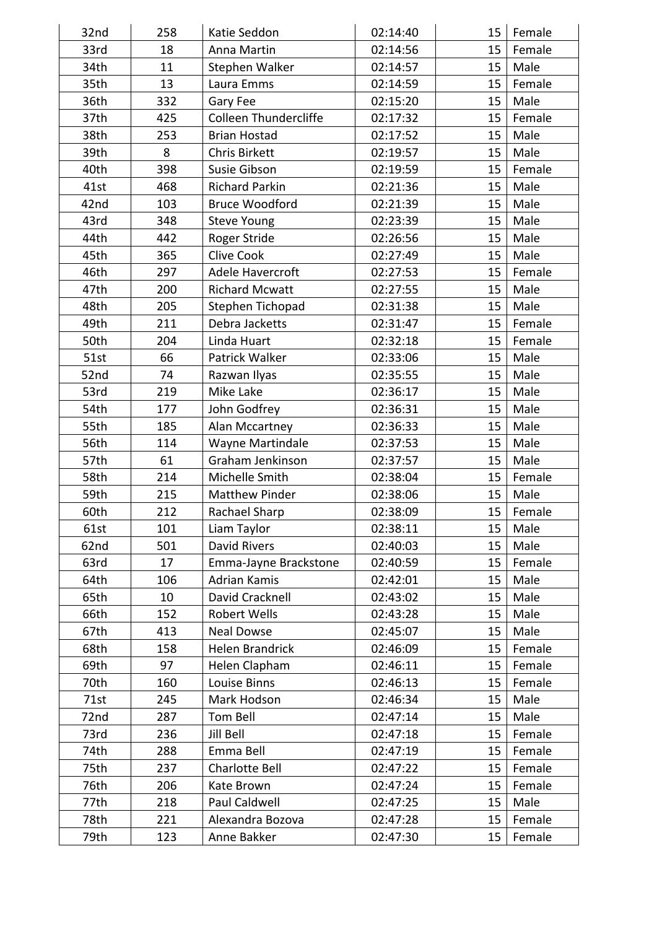| 32nd        | 258 | Katie Seddon                       | 02:14:40 | 15 | Female         |
|-------------|-----|------------------------------------|----------|----|----------------|
| 33rd        | 18  | Anna Martin                        | 02:14:56 | 15 | Female         |
| 34th        | 11  | Stephen Walker                     | 02:14:57 | 15 | Male           |
| 35th        | 13  | Laura Emms                         | 02:14:59 | 15 | Female         |
| 36th        | 332 | Gary Fee                           | 02:15:20 | 15 | Male           |
| 37th        | 425 | Colleen Thundercliffe              | 02:17:32 | 15 | Female         |
| 38th        | 253 | <b>Brian Hostad</b>                | 02:17:52 | 15 | Male           |
| 39th        | 8   | <b>Chris Birkett</b>               | 02:19:57 | 15 | Male           |
| 40th        | 398 | Susie Gibson                       | 02:19:59 | 15 | Female         |
| 41st        | 468 | <b>Richard Parkin</b>              | 02:21:36 | 15 | Male           |
| 42nd        | 103 | <b>Bruce Woodford</b>              | 02:21:39 | 15 | Male           |
| 43rd        | 348 | <b>Steve Young</b>                 | 02:23:39 | 15 | Male           |
| 44th        | 442 | Roger Stride                       | 02:26:56 | 15 | Male           |
| 45th        | 365 | <b>Clive Cook</b>                  | 02:27:49 | 15 | Male           |
| 46th        | 297 | Adele Havercroft                   | 02:27:53 | 15 | Female         |
| 47th        | 200 | <b>Richard Mcwatt</b>              | 02:27:55 | 15 | Male           |
| 48th        | 205 |                                    | 02:31:38 | 15 | Male           |
| 49th        | 211 | Stephen Tichopad<br>Debra Jacketts |          | 15 | Female         |
|             |     | Linda Huart                        | 02:31:47 |    |                |
| 50th        | 204 |                                    | 02:32:18 | 15 | Female<br>Male |
| <b>51st</b> | 66  | Patrick Walker                     | 02:33:06 | 15 |                |
| 52nd        | 74  | Razwan Ilyas                       | 02:35:55 | 15 | Male           |
| 53rd        | 219 | Mike Lake                          | 02:36:17 | 15 | Male           |
| 54th        | 177 | John Godfrey                       | 02:36:31 | 15 | Male           |
| 55th        | 185 | Alan Mccartney                     | 02:36:33 | 15 | Male           |
| 56th        | 114 | Wayne Martindale                   | 02:37:53 | 15 | Male           |
| 57th        | 61  | Graham Jenkinson                   | 02:37:57 | 15 | Male           |
| 58th        | 214 | Michelle Smith                     | 02:38:04 | 15 | Female         |
| 59th        | 215 | <b>Matthew Pinder</b>              | 02:38:06 | 15 | Male           |
| 60th        | 212 | Rachael Sharp                      | 02:38:09 | 15 | Female         |
| 61st        | 101 | Liam Taylor                        | 02:38:11 | 15 | Male           |
| 62nd        | 501 | David Rivers                       | 02:40:03 | 15 | Male           |
| 63rd        | 17  | Emma-Jayne Brackstone              | 02:40:59 | 15 | Female         |
| 64th        | 106 | <b>Adrian Kamis</b>                | 02:42:01 | 15 | Male           |
| 65th        | 10  | David Cracknell                    | 02:43:02 | 15 | Male           |
| 66th        | 152 | <b>Robert Wells</b>                | 02:43:28 | 15 | Male           |
| 67th        | 413 | <b>Neal Dowse</b>                  | 02:45:07 | 15 | Male           |
| 68th        | 158 | Helen Brandrick                    | 02:46:09 | 15 | Female         |
| 69th        | 97  | Helen Clapham                      | 02:46:11 | 15 | Female         |
| 70th        | 160 | Louise Binns                       | 02:46:13 | 15 | Female         |
| 71st        | 245 | Mark Hodson                        | 02:46:34 | 15 | Male           |
| 72nd        | 287 | Tom Bell                           | 02:47:14 | 15 | Male           |
| 73rd        | 236 | Jill Bell                          | 02:47:18 | 15 | Female         |
| 74th        | 288 | Emma Bell                          | 02:47:19 | 15 | Female         |
| 75th        | 237 | Charlotte Bell                     | 02:47:22 | 15 | Female         |
| 76th        | 206 | Kate Brown                         | 02:47:24 | 15 | Female         |
| 77th        | 218 | Paul Caldwell                      | 02:47:25 | 15 | Male           |
| 78th        | 221 | Alexandra Bozova                   | 02:47:28 | 15 | Female         |
| 79th        | 123 | Anne Bakker                        | 02:47:30 | 15 | Female         |
|             |     |                                    |          |    |                |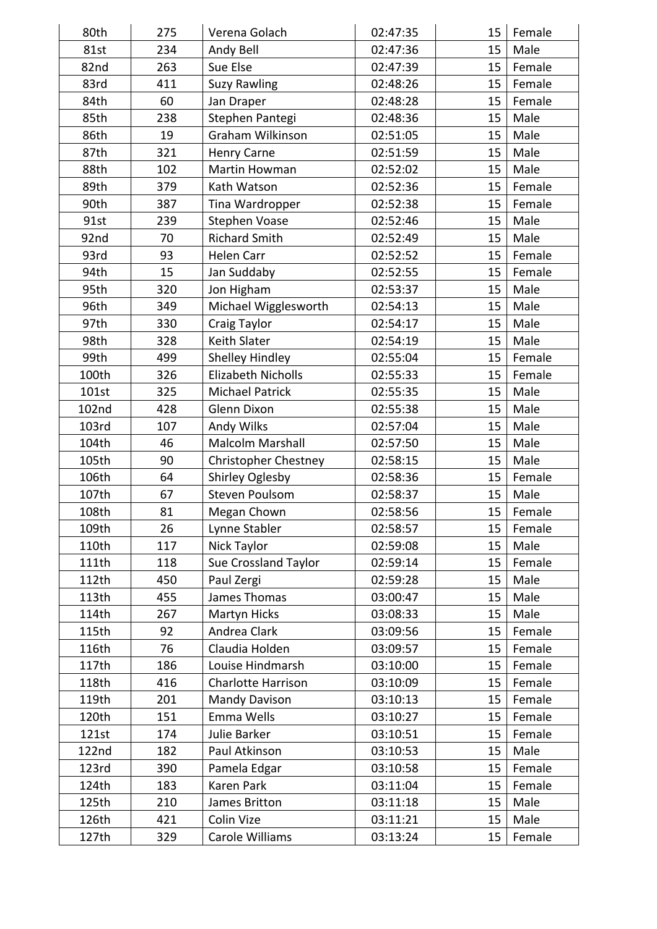| 80th  | 275 | Verena Golach               | 02:47:35 | 15              | Female |
|-------|-----|-----------------------------|----------|-----------------|--------|
| 81st  | 234 | Andy Bell                   | 02:47:36 | 15              | Male   |
| 82nd  | 263 | Sue Else                    | 02:47:39 | 15 <sub>1</sub> | Female |
| 83rd  | 411 |                             | 02:48:26 | 15              | Female |
| 84th  | 60  | <b>Suzy Rawling</b>         | 02:48:28 |                 | Female |
|       |     | Jan Draper                  |          | 15<br>15        | Male   |
| 85th  | 238 | Stephen Pantegi             | 02:48:36 |                 |        |
| 86th  | 19  | Graham Wilkinson            | 02:51:05 | 15              | Male   |
| 87th  | 321 | <b>Henry Carne</b>          | 02:51:59 | 15              | Male   |
| 88th  | 102 | Martin Howman               | 02:52:02 | 15              | Male   |
| 89th  | 379 | Kath Watson                 | 02:52:36 | 15              | Female |
| 90th  | 387 | Tina Wardropper             | 02:52:38 | 15              | Female |
| 91st  | 239 | <b>Stephen Voase</b>        | 02:52:46 | 15              | Male   |
| 92nd  | 70  | <b>Richard Smith</b>        | 02:52:49 | 15              | Male   |
| 93rd  | 93  | <b>Helen Carr</b>           | 02:52:52 | 15              | Female |
| 94th  | 15  | Jan Suddaby                 | 02:52:55 | 15              | Female |
| 95th  | 320 | Jon Higham                  | 02:53:37 | 15              | Male   |
| 96th  | 349 | Michael Wigglesworth        | 02:54:13 | 15              | Male   |
| 97th  | 330 | <b>Craig Taylor</b>         | 02:54:17 | 15              | Male   |
| 98th  | 328 | Keith Slater                | 02:54:19 | 15              | Male   |
| 99th  | 499 | Shelley Hindley             | 02:55:04 | 15              | Female |
| 100th | 326 | Elizabeth Nicholls          | 02:55:33 | 15              | Female |
| 101st | 325 | <b>Michael Patrick</b>      | 02:55:35 | 15              | Male   |
| 102nd | 428 | Glenn Dixon                 | 02:55:38 | 15              | Male   |
| 103rd | 107 | Andy Wilks                  | 02:57:04 | 15              | Male   |
| 104th | 46  | <b>Malcolm Marshall</b>     | 02:57:50 | 15              | Male   |
| 105th | 90  | <b>Christopher Chestney</b> | 02:58:15 | 15              | Male   |
| 106th | 64  | Shirley Oglesby             | 02:58:36 | 15              | Female |
| 107th | 67  | <b>Steven Poulsom</b>       | 02:58:37 | 15              | Male   |
| 108th | 81  | Megan Chown                 | 02:58:56 | 15              | Female |
| 109th | 26  | Lynne Stabler               | 02:58:57 | 15              | Female |
| 110th | 117 | Nick Taylor                 | 02:59:08 | 15              | Male   |
| 111th | 118 | Sue Crossland Taylor        | 02:59:14 | 15              | Female |
| 112th | 450 | Paul Zergi                  | 02:59:28 | 15              | Male   |
| 113th | 455 | James Thomas                | 03:00:47 | 15              | Male   |
| 114th | 267 | Martyn Hicks                | 03:08:33 | 15              | Male   |
| 115th | 92  | Andrea Clark                | 03:09:56 | 15              | Female |
| 116th | 76  | Claudia Holden              | 03:09:57 | 15              | Female |
| 117th | 186 | Louise Hindmarsh            | 03:10:00 | 15              | Female |
| 118th | 416 | Charlotte Harrison          | 03:10:09 | 15              | Female |
| 119th | 201 | <b>Mandy Davison</b>        | 03:10:13 | 15              | Female |
| 120th | 151 | Emma Wells                  | 03:10:27 | 15              | Female |
| 121st | 174 | Julie Barker                | 03:10:51 | 15              | Female |
| 122nd | 182 | Paul Atkinson               | 03:10:53 | 15              | Male   |
| 123rd | 390 | Pamela Edgar                | 03:10:58 | 15              | Female |
| 124th | 183 | Karen Park                  | 03:11:04 | 15              | Female |
| 125th | 210 | James Britton               | 03:11:18 | 15              | Male   |
| 126th | 421 | Colin Vize                  | 03:11:21 | 15              | Male   |
| 127th | 329 | Carole Williams             | 03:13:24 | 15              | Female |
|       |     |                             |          |                 |        |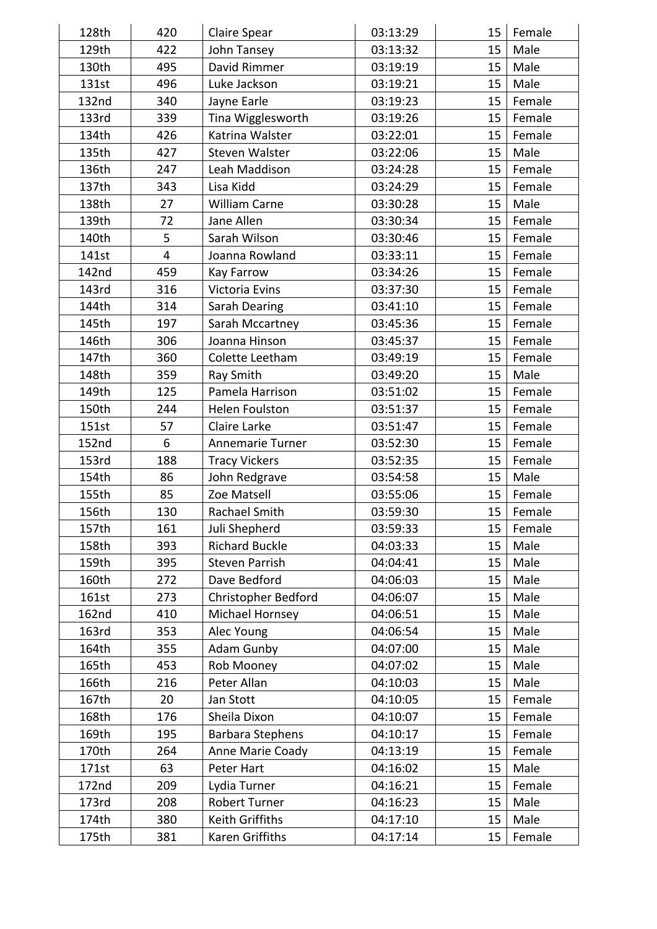| 128th | 420            | <b>Claire Spear</b>     | 03:13:29 | 15 | Female |
|-------|----------------|-------------------------|----------|----|--------|
| 129th | 422            | John Tansey             | 03:13:32 | 15 | Male   |
| 130th | 495            | David Rimmer            | 03:19:19 | 15 | Male   |
| 131st | 496            | Luke Jackson            | 03:19:21 | 15 | Male   |
| 132nd | 340            | Jayne Earle             | 03:19:23 | 15 | Female |
| 133rd | 339            | Tina Wigglesworth       | 03:19:26 | 15 | Female |
| 134th | 426            | Katrina Walster         | 03:22:01 | 15 | Female |
| 135th | 427            | Steven Walster          | 03:22:06 | 15 | Male   |
| 136th | 247            | Leah Maddison           | 03:24:28 | 15 | Female |
| 137th | 343            | Lisa Kidd               | 03:24:29 | 15 | Female |
| 138th | 27             | <b>William Carne</b>    | 03:30:28 | 15 | Male   |
| 139th | 72             | Jane Allen              | 03:30:34 | 15 | Female |
| 140th | 5              | Sarah Wilson            | 03:30:46 | 15 | Female |
| 141st | $\overline{4}$ | Joanna Rowland          | 03:33:11 | 15 | Female |
| 142nd | 459            | Kay Farrow              | 03:34:26 | 15 | Female |
| 143rd | 316            | Victoria Evins          | 03:37:30 | 15 | Female |
| 144th | 314            | Sarah Dearing           | 03:41:10 | 15 | Female |
| 145th | 197            | Sarah Mccartney         | 03:45:36 | 15 | Female |
| 146th | 306            | Joanna Hinson           | 03:45:37 | 15 | Female |
| 147th | 360            | Colette Leetham         | 03:49:19 | 15 | Female |
| 148th | 359            | Ray Smith               | 03:49:20 | 15 | Male   |
| 149th | 125            | Pamela Harrison         | 03:51:02 | 15 | Female |
| 150th | 244            | Helen Foulston          | 03:51:37 | 15 | Female |
| 151st | 57             | Claire Larke            | 03:51:47 | 15 | Female |
| 152nd | 6              | Annemarie Turner        | 03:52:30 | 15 | Female |
| 153rd | 188            | <b>Tracy Vickers</b>    | 03:52:35 | 15 | Female |
| 154th | 86             | John Redgrave           | 03:54:58 | 15 | Male   |
| 155th | 85             | Zoe Matsell             | 03:55:06 | 15 | Female |
| 156th | 130            | Rachael Smith           | 03:59:30 | 15 | Female |
| 157th | 161            | Juli Shepherd           | 03:59:33 | 15 | Female |
| 158th | 393            | <b>Richard Buckle</b>   | 04:03:33 | 15 | Male   |
| 159th | 395            | <b>Steven Parrish</b>   | 04:04:41 | 15 | Male   |
| 160th | 272            | Dave Bedford            | 04:06:03 | 15 | Male   |
| 161st | 273            | Christopher Bedford     | 04:06:07 | 15 | Male   |
| 162nd | 410            | Michael Hornsey         | 04:06:51 | 15 | Male   |
| 163rd | 353            | Alec Young              | 04:06:54 | 15 | Male   |
| 164th | 355            | Adam Gunby              | 04:07:00 | 15 | Male   |
| 165th | 453            | Rob Mooney              | 04:07:02 | 15 | Male   |
| 166th | 216            | Peter Allan             | 04:10:03 | 15 | Male   |
| 167th | 20             | Jan Stott               | 04:10:05 | 15 | Female |
| 168th | 176            | Sheila Dixon            | 04:10:07 | 15 | Female |
| 169th | 195            | <b>Barbara Stephens</b> | 04:10:17 | 15 | Female |
| 170th | 264            | Anne Marie Coady        | 04:13:19 | 15 | Female |
| 171st | 63             | Peter Hart              | 04:16:02 | 15 | Male   |
| 172nd | 209            | Lydia Turner            | 04:16:21 | 15 | Female |
|       | 208            | Robert Turner           | 04:16:23 | 15 | Male   |
| 173rd |                |                         |          |    |        |
| 174th | 380            | Keith Griffiths         | 04:17:10 | 15 | Male   |
| 175th | 381            | Karen Griffiths         | 04:17:14 | 15 | Female |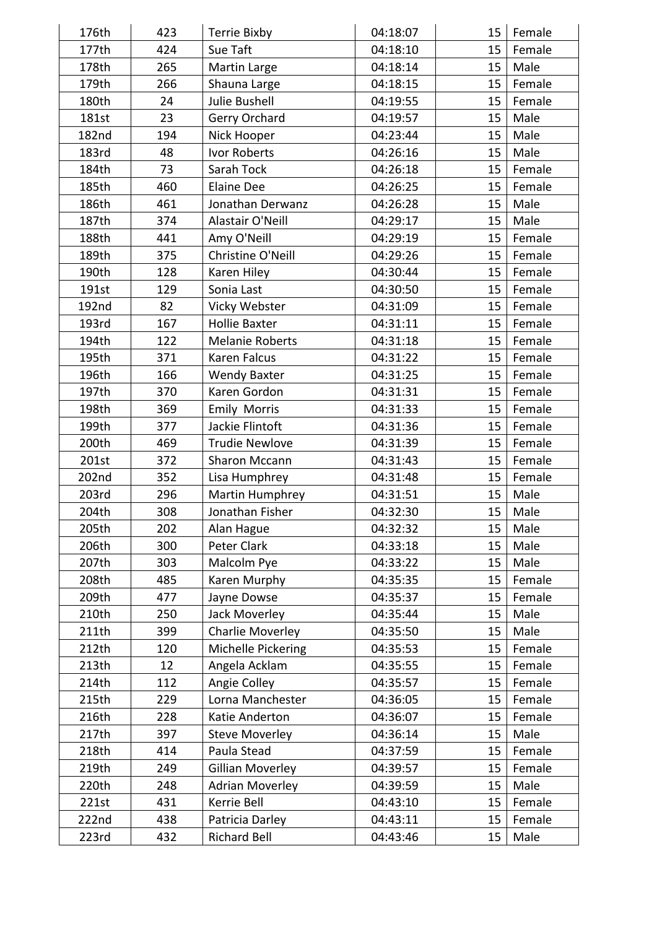| 176th | 423 | <b>Terrie Bixby</b>     | 04:18:07 | 15 | Female |
|-------|-----|-------------------------|----------|----|--------|
| 177th | 424 | Sue Taft                | 04:18:10 | 15 | Female |
| 178th | 265 | Martin Large            | 04:18:14 | 15 | Male   |
| 179th | 266 | Shauna Large            | 04:18:15 | 15 | Female |
| 180th | 24  | Julie Bushell           | 04:19:55 | 15 | Female |
| 181st | 23  | Gerry Orchard           | 04:19:57 | 15 | Male   |
| 182nd | 194 | Nick Hooper             | 04:23:44 | 15 | Male   |
| 183rd | 48  | Ivor Roberts            | 04:26:16 | 15 | Male   |
| 184th | 73  | Sarah Tock              | 04:26:18 | 15 | Female |
| 185th | 460 | Elaine Dee              | 04:26:25 | 15 | Female |
| 186th | 461 | Jonathan Derwanz        | 04:26:28 | 15 | Male   |
| 187th | 374 | Alastair O'Neill        | 04:29:17 | 15 | Male   |
| 188th | 441 | Amy O'Neill             | 04:29:19 | 15 | Female |
| 189th | 375 | Christine O'Neill       | 04:29:26 | 15 | Female |
| 190th | 128 | Karen Hiley             | 04:30:44 | 15 | Female |
| 191st | 129 | Sonia Last              | 04:30:50 | 15 | Female |
| 192nd | 82  | Vicky Webster           | 04:31:09 | 15 | Female |
| 193rd | 167 | <b>Hollie Baxter</b>    | 04:31:11 | 15 | Female |
| 194th | 122 | <b>Melanie Roberts</b>  | 04:31:18 | 15 | Female |
| 195th | 371 | Karen Falcus            | 04:31:22 | 15 | Female |
| 196th | 166 | <b>Wendy Baxter</b>     | 04:31:25 | 15 | Female |
| 197th | 370 | Karen Gordon            | 04:31:31 | 15 | Female |
| 198th | 369 | <b>Emily Morris</b>     | 04:31:33 | 15 | Female |
| 199th | 377 | Jackie Flintoft         | 04:31:36 | 15 | Female |
| 200th | 469 | <b>Trudie Newlove</b>   | 04:31:39 | 15 | Female |
| 201st | 372 | Sharon Mccann           | 04:31:43 | 15 | Female |
| 202nd | 352 | Lisa Humphrey           | 04:31:48 | 15 | Female |
| 203rd | 296 | Martin Humphrey         | 04:31:51 | 15 | Male   |
| 204th | 308 | Jonathan Fisher         | 04:32:30 | 15 | Male   |
| 205th | 202 | Alan Hague              | 04:32:32 | 15 | Male   |
| 206th | 300 | Peter Clark             | 04:33:18 | 15 | Male   |
| 207th | 303 | Malcolm Pye             | 04:33:22 | 15 | Male   |
| 208th | 485 | Karen Murphy            | 04:35:35 | 15 | Female |
| 209th | 477 | Jayne Dowse             | 04:35:37 | 15 | Female |
| 210th | 250 | Jack Moverley           | 04:35:44 | 15 | Male   |
| 211th | 399 | Charlie Moverley        | 04:35:50 | 15 | Male   |
| 212th | 120 | Michelle Pickering      | 04:35:53 | 15 | Female |
| 213th | 12  | Angela Acklam           | 04:35:55 | 15 | Female |
| 214th | 112 | Angie Colley            | 04:35:57 | 15 | Female |
| 215th | 229 | Lorna Manchester        | 04:36:05 | 15 | Female |
| 216th | 228 | Katie Anderton          | 04:36:07 | 15 | Female |
| 217th | 397 | <b>Steve Moverley</b>   | 04:36:14 | 15 | Male   |
| 218th | 414 | Paula Stead             | 04:37:59 | 15 | Female |
| 219th | 249 | <b>Gillian Moverley</b> | 04:39:57 | 15 | Female |
| 220th | 248 | <b>Adrian Moverley</b>  | 04:39:59 | 15 | Male   |
| 221st | 431 | Kerrie Bell             | 04:43:10 | 15 | Female |
| 222nd | 438 | Patricia Darley         | 04:43:11 | 15 | Female |
| 223rd | 432 | <b>Richard Bell</b>     | 04:43:46 | 15 | Male   |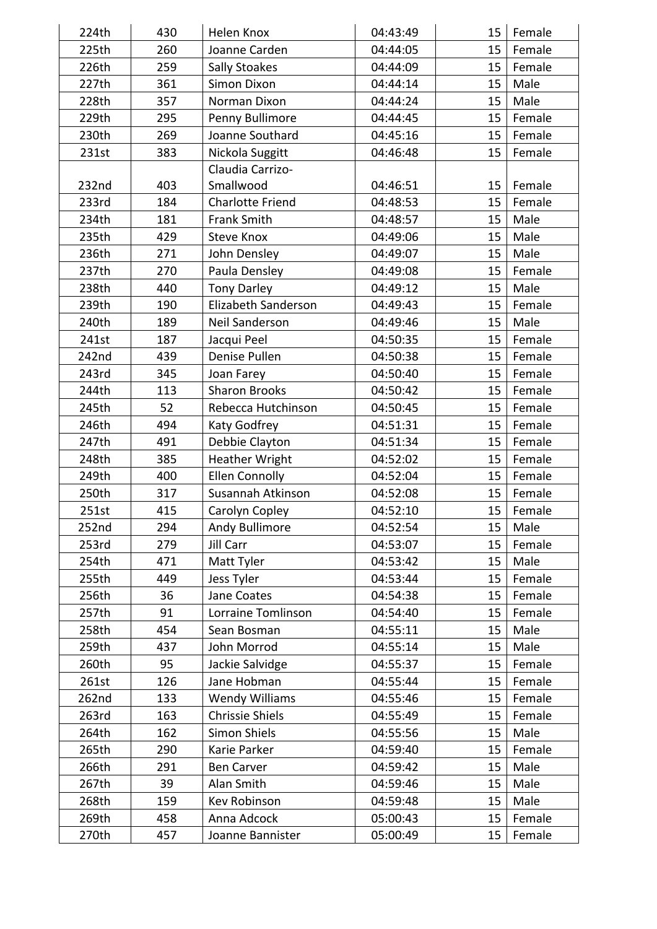|       |     |                         |          |    | Female |
|-------|-----|-------------------------|----------|----|--------|
| 224th | 430 | Helen Knox              | 04:43:49 | 15 |        |
| 225th | 260 | Joanne Carden           | 04:44:05 | 15 | Female |
| 226th | 259 | <b>Sally Stoakes</b>    | 04:44:09 | 15 | Female |
| 227th | 361 | <b>Simon Dixon</b>      | 04:44:14 | 15 | Male   |
| 228th | 357 | Norman Dixon            | 04:44:24 | 15 | Male   |
| 229th | 295 | Penny Bullimore         | 04:44:45 | 15 | Female |
| 230th | 269 | Joanne Southard         | 04:45:16 | 15 | Female |
| 231st | 383 | Nickola Suggitt         | 04:46:48 | 15 | Female |
|       |     | Claudia Carrizo-        |          |    |        |
| 232nd | 403 | Smallwood               | 04:46:51 | 15 | Female |
| 233rd | 184 | <b>Charlotte Friend</b> | 04:48:53 | 15 | Female |
| 234th | 181 | <b>Frank Smith</b>      | 04:48:57 | 15 | Male   |
| 235th | 429 | <b>Steve Knox</b>       | 04:49:06 | 15 | Male   |
| 236th | 271 | John Densley            | 04:49:07 | 15 | Male   |
| 237th | 270 | Paula Densley           | 04:49:08 | 15 | Female |
| 238th | 440 | <b>Tony Darley</b>      | 04:49:12 | 15 | Male   |
| 239th | 190 | Elizabeth Sanderson     | 04:49:43 | 15 | Female |
| 240th | 189 | Neil Sanderson          | 04:49:46 | 15 | Male   |
| 241st | 187 | Jacqui Peel             | 04:50:35 | 15 | Female |
| 242nd | 439 | Denise Pullen           | 04:50:38 | 15 | Female |
| 243rd | 345 | Joan Farey              | 04:50:40 | 15 | Female |
| 244th | 113 | <b>Sharon Brooks</b>    | 04:50:42 | 15 | Female |
| 245th | 52  | Rebecca Hutchinson      | 04:50:45 | 15 | Female |
| 246th | 494 | Katy Godfrey            | 04:51:31 | 15 | Female |
| 247th | 491 | Debbie Clayton          | 04:51:34 | 15 | Female |
| 248th | 385 | <b>Heather Wright</b>   | 04:52:02 | 15 | Female |
| 249th | 400 | <b>Ellen Connolly</b>   | 04:52:04 | 15 | Female |
| 250th | 317 | Susannah Atkinson       | 04:52:08 | 15 | Female |
| 251st | 415 | Carolyn Copley          | 04:52:10 | 15 | Female |
| 252nd | 294 | Andy Bullimore          | 04:52:54 | 15 | Male   |
| 253rd | 279 | Jill Carr               | 04:53:07 | 15 | Female |
| 254th | 471 | Matt Tyler              | 04:53:42 | 15 | Male   |
| 255th | 449 | Jess Tyler              | 04:53:44 | 15 | Female |
| 256th | 36  | Jane Coates             | 04:54:38 | 15 | Female |
| 257th | 91  | Lorraine Tomlinson      | 04:54:40 | 15 | Female |
| 258th | 454 | Sean Bosman             | 04:55:11 | 15 | Male   |
| 259th | 437 | John Morrod             | 04:55:14 | 15 | Male   |
| 260th | 95  | Jackie Salvidge         | 04:55:37 | 15 | Female |
| 261st | 126 | Jane Hobman             | 04:55:44 | 15 | Female |
| 262nd | 133 | <b>Wendy Williams</b>   | 04:55:46 | 15 | Female |
| 263rd | 163 | <b>Chrissie Shiels</b>  | 04:55:49 | 15 | Female |
| 264th | 162 | Simon Shiels            | 04:55:56 | 15 | Male   |
| 265th | 290 | Karie Parker            | 04:59:40 | 15 | Female |
| 266th | 291 | <b>Ben Carver</b>       | 04:59:42 | 15 | Male   |
|       |     |                         | 04:59:46 |    |        |
| 267th | 39  | Alan Smith              |          | 15 | Male   |
| 268th | 159 | Kev Robinson            | 04:59:48 | 15 | Male   |
| 269th | 458 | Anna Adcock             | 05:00:43 | 15 | Female |
| 270th | 457 | Joanne Bannister        | 05:00:49 | 15 | Female |